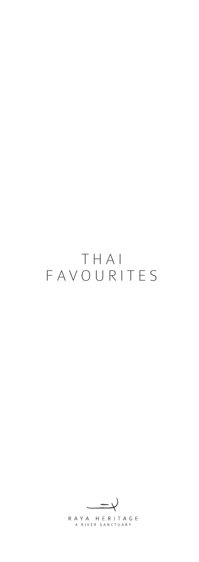# THAI FAVOURITES